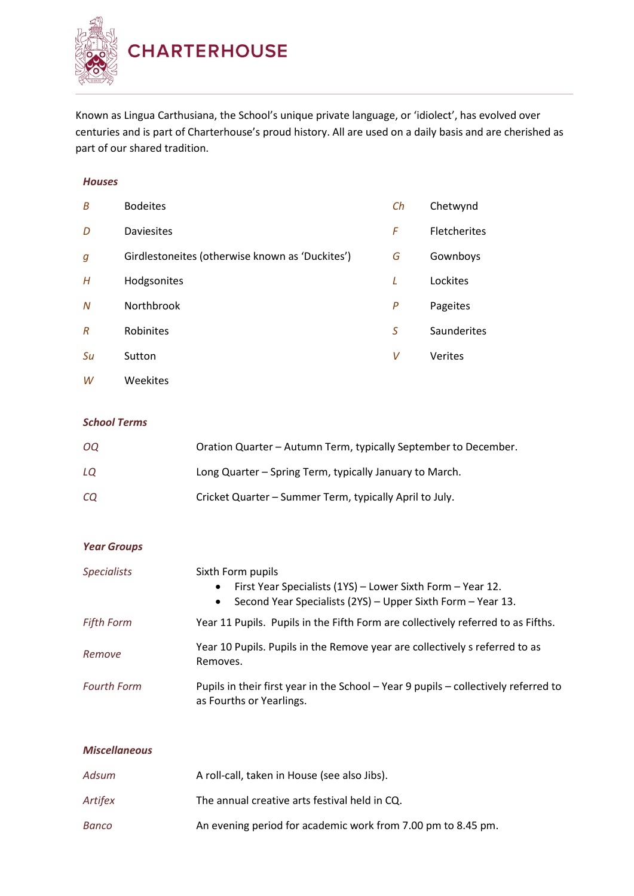

Known as Lingua Carthusiana, the School's unique private language, or 'idiolect', has evolved over centuries and is part of Charterhouse's proud history. All are used on a daily basis and are cherished as part of our shared tradition.

## *Houses*

| B                | <b>Bodeites</b>                                 | Ch | Chetwynd     |
|------------------|-------------------------------------------------|----|--------------|
| D                | <b>Daviesites</b>                               | F  | Fletcherites |
| g                | Girdlestoneites (otherwise known as 'Duckites') | G  | Gownboys     |
| Н                | Hodgsonites                                     | L  | Lockites     |
| $\boldsymbol{N}$ | Northbrook                                      | P  | Pageites     |
| $\overline{R}$   | Robinites                                       | S  | Saunderites  |
| Su               | Sutton                                          | V  | Verites      |
| W                | Weekites                                        |    |              |

## *School Terms*

| OQ. | Oration Quarter – Autumn Term, typically September to December. |
|-----|-----------------------------------------------------------------|
| LQ  | Long Quarter – Spring Term, typically January to March.         |
| CQ  | Cricket Quarter - Summer Term, typically April to July.         |

| <b>Year Groups</b> |                                                                                                                                                                          |
|--------------------|--------------------------------------------------------------------------------------------------------------------------------------------------------------------------|
| <b>Specialists</b> | Sixth Form pupils<br>First Year Specialists (1YS) - Lower Sixth Form - Year 12.<br>$\bullet$<br>Second Year Specialists (2YS) - Upper Sixth Form - Year 13.<br>$\bullet$ |
| <b>Fifth Form</b>  | Year 11 Pupils. Pupils in the Fifth Form are collectively referred to as Fifths.                                                                                         |
| Remove             | Year 10 Pupils. Pupils in the Remove year are collectively s referred to as<br>Removes.                                                                                  |
| <b>Fourth Form</b> | Pupils in their first year in the School - Year 9 pupils - collectively referred to<br>as Fourths or Yearlings.                                                          |
|                    |                                                                                                                                                                          |

| <b>Miscellaneous</b> |                                                              |
|----------------------|--------------------------------------------------------------|
| Adsum                | A roll-call, taken in House (see also Jibs).                 |
| Artifex              | The annual creative arts festival held in CQ.                |
| Banco                | An evening period for academic work from 7.00 pm to 8.45 pm. |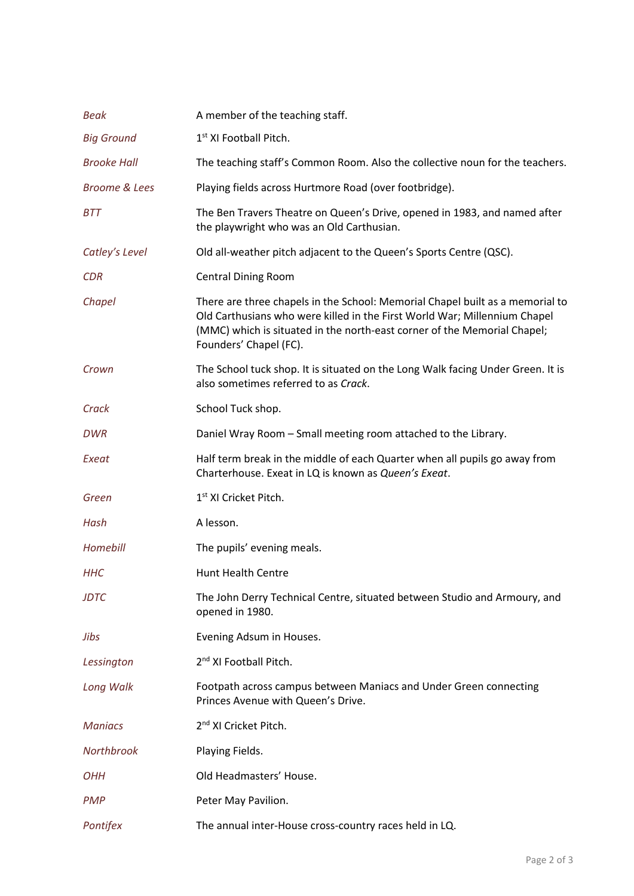| Beak                     | A member of the teaching staff.                                                                                                                                                                                                                                  |
|--------------------------|------------------------------------------------------------------------------------------------------------------------------------------------------------------------------------------------------------------------------------------------------------------|
| <b>Big Ground</b>        | 1 <sup>st</sup> XI Football Pitch.                                                                                                                                                                                                                               |
| <b>Brooke Hall</b>       | The teaching staff's Common Room. Also the collective noun for the teachers.                                                                                                                                                                                     |
| <b>Broome &amp; Lees</b> | Playing fields across Hurtmore Road (over footbridge).                                                                                                                                                                                                           |
| <b>BTT</b>               | The Ben Travers Theatre on Queen's Drive, opened in 1983, and named after<br>the playwright who was an Old Carthusian.                                                                                                                                           |
| Catley's Level           | Old all-weather pitch adjacent to the Queen's Sports Centre (QSC).                                                                                                                                                                                               |
| <b>CDR</b>               | <b>Central Dining Room</b>                                                                                                                                                                                                                                       |
| Chapel                   | There are three chapels in the School: Memorial Chapel built as a memorial to<br>Old Carthusians who were killed in the First World War; Millennium Chapel<br>(MMC) which is situated in the north-east corner of the Memorial Chapel;<br>Founders' Chapel (FC). |
| Crown                    | The School tuck shop. It is situated on the Long Walk facing Under Green. It is<br>also sometimes referred to as Crack.                                                                                                                                          |
| Crack                    | School Tuck shop.                                                                                                                                                                                                                                                |
| <b>DWR</b>               | Daniel Wray Room - Small meeting room attached to the Library.                                                                                                                                                                                                   |
| Exeat                    | Half term break in the middle of each Quarter when all pupils go away from<br>Charterhouse. Exeat in LQ is known as Queen's Exeat.                                                                                                                               |
| Green                    | 1 <sup>st</sup> XI Cricket Pitch.                                                                                                                                                                                                                                |
| Hash                     | A lesson.                                                                                                                                                                                                                                                        |
| Homebill                 | The pupils' evening meals.                                                                                                                                                                                                                                       |
| <b>HHC</b>               | <b>Hunt Health Centre</b>                                                                                                                                                                                                                                        |
| <b>JDTC</b>              | The John Derry Technical Centre, situated between Studio and Armoury, and<br>opened in 1980.                                                                                                                                                                     |
| Jibs                     | Evening Adsum in Houses.                                                                                                                                                                                                                                         |
| Lessington               | 2 <sup>nd</sup> XI Football Pitch.                                                                                                                                                                                                                               |
| Long Walk                | Footpath across campus between Maniacs and Under Green connecting<br>Princes Avenue with Queen's Drive.                                                                                                                                                          |
| <b>Maniacs</b>           | 2 <sup>nd</sup> XI Cricket Pitch.                                                                                                                                                                                                                                |
| Northbrook               | Playing Fields.                                                                                                                                                                                                                                                  |
| ОНН                      | Old Headmasters' House.                                                                                                                                                                                                                                          |
| <b>PMP</b>               | Peter May Pavilion.                                                                                                                                                                                                                                              |
| Pontifex                 | The annual inter-House cross-country races held in LQ.                                                                                                                                                                                                           |